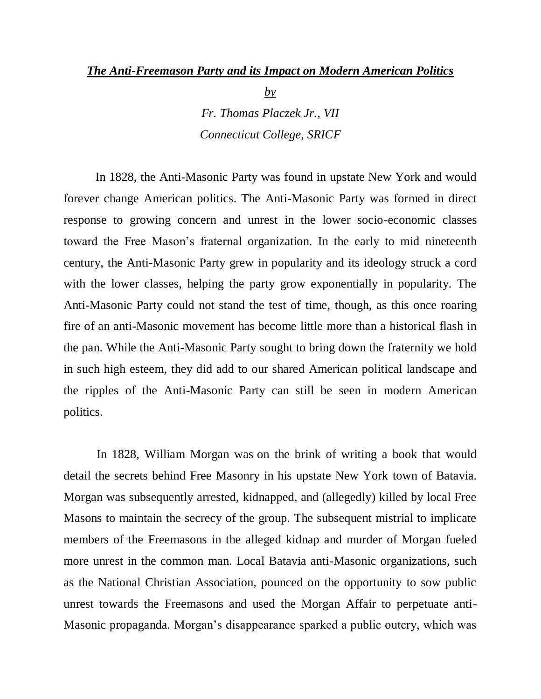## *The Anti-Freemason Party and its Impact on Modern American Politics*

*by Fr. Thomas Placzek Jr., VII Connecticut College, SRICF* 

In 1828, the Anti-Masonic Party was found in upstate New York and would forever change American politics. The Anti-Masonic Party was formed in direct response to growing concern and unrest in the lower socio-economic classes toward the Free Mason's fraternal organization. In the early to mid nineteenth century, the Anti-Masonic Party grew in popularity and its ideology struck a cord with the lower classes, helping the party grow exponentially in popularity. The Anti-Masonic Party could not stand the test of time, though, as this once roaring fire of an anti-Masonic movement has become little more than a historical flash in the pan. While the Anti-Masonic Party sought to bring down the fraternity we hold in such high esteem, they did add to our shared American political landscape and the ripples of the Anti-Masonic Party can still be seen in modern American politics.

 In 1828, William Morgan was on the brink of writing a book that would detail the secrets behind Free Masonry in his upstate New York town of Batavia. Morgan was subsequently arrested, kidnapped, and (allegedly) killed by local Free Masons to maintain the secrecy of the group. The subsequent mistrial to implicate members of the Freemasons in the alleged kidnap and murder of Morgan fueled more unrest in the common man. Local Batavia anti-Masonic organizations, such as the National Christian Association, pounced on the opportunity to sow public unrest towards the Freemasons and used the Morgan Affair to perpetuate anti-Masonic propaganda. Morgan's disappearance sparked a public outcry, which was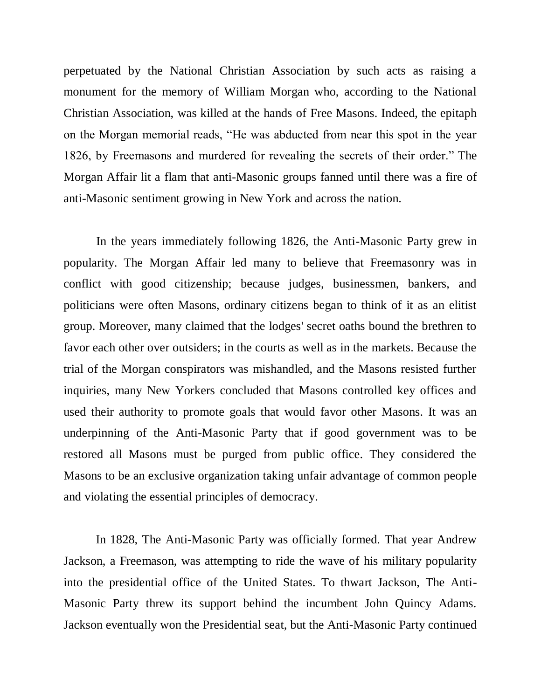perpetuated by the National Christian Association by such acts as raising a monument for the memory of William Morgan who, according to the National Christian Association, was killed at the hands of Free Masons. Indeed, the epitaph on the Morgan memorial reads, "He was abducted from near this spot in the year 1826, by Freemasons and murdered for revealing the secrets of their order." The Morgan Affair lit a flam that anti-Masonic groups fanned until there was a fire of anti-Masonic sentiment growing in New York and across the nation.

 In the years immediately following 1826, the Anti-Masonic Party grew in popularity. The Morgan Affair led many to believe that Freemasonry was in conflict with good citizenship; because judges, businessmen, bankers, and politicians were often Masons, ordinary citizens began to think of it as an elitist group. Moreover, many claimed that the lodges' secret oaths bound the brethren to favor each other over outsiders; in the courts as well as in the markets. Because the trial of the Morgan conspirators was mishandled, and the Masons resisted further inquiries, many New Yorkers concluded that Masons controlled key offices and used their authority to promote goals that would favor other Masons. It was an underpinning of the Anti-Masonic Party that if good government was to be restored all Masons must be purged from public office. They considered the Masons to be an exclusive organization taking unfair advantage of common people and violating the essential principles of [democracy.](http://en.wikipedia.org/wiki/Democracy)

 In 1828, The Anti-Masonic Party was officially formed. That year Andrew Jackson, a Freemason, was attempting to ride the wave of his military popularity into the presidential office of the United States. To thwart Jackson, The Anti-Masonic Party threw its support behind the incumbent John Quincy Adams. Jackson eventually won the Presidential seat, but the Anti-Masonic Party continued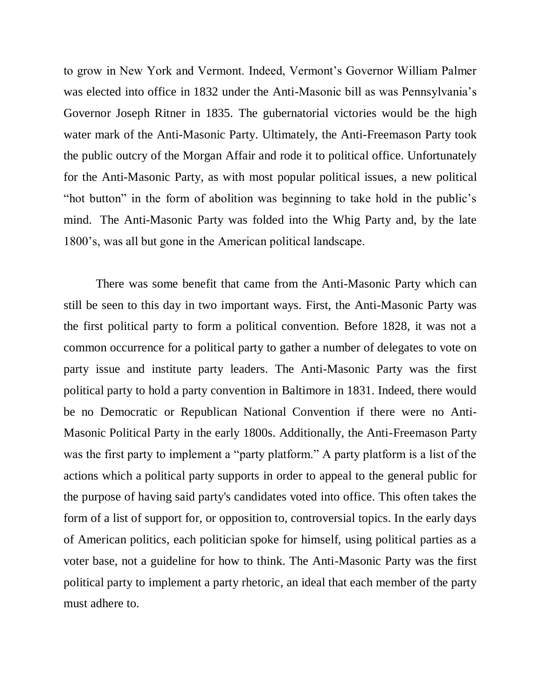to grow in New York and Vermont. Indeed, Vermont's Governor William Palmer was elected into office in 1832 under the Anti-Masonic bill as was Pennsylvania's Governor Joseph Ritner in 1835. The gubernatorial victories would be the high water mark of the Anti-Masonic Party. Ultimately, the Anti-Freemason Party took the public outcry of the Morgan Affair and rode it to political office. Unfortunately for the Anti-Masonic Party, as with most popular political issues, a new political "hot button" in the form of abolition was beginning to take hold in the public's mind. The Anti-Masonic Party was folded into the Whig Party and, by the late 1800's, was all but gone in the American political landscape.

 There was some benefit that came from the Anti-Masonic Party which can still be seen to this day in two important ways. First, the Anti-Masonic Party was the first political party to form a political convention. Before 1828, it was not a common occurrence for a political party to gather a number of delegates to vote on party issue and institute party leaders. The Anti-Masonic Party was the first political party to hold a party convention in Baltimore in 1831. Indeed, there would be no Democratic or Republican National Convention if there were no Anti-Masonic Political Party in the early 1800s. Additionally, the Anti-Freemason Party was the first party to implement a "party platform." A party platform is a list of the actions which a [political party](http://en.wikipedia.org/wiki/Political_party) supports in order to appeal to the general public for the purpose of having said party's candidates voted into office. This often takes the form of a list of support for, or opposition to, controversial topics. In the early days of American politics, each politician spoke for himself, using political parties as a voter base, not a guideline for how to think. The Anti-Masonic Party was the first political party to implement a party rhetoric, an ideal that each member of the party must adhere to.